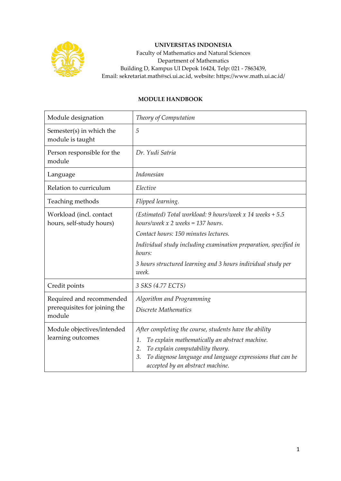

## **UNIVERSITAS INDONESIA**

Faculty of Mathematics and Natural Sciences Department of Mathematics Building D, Kampus UI Depok 16424, Telp: 021 - 7863439, Email: sekretariat.math@sci.ui.ac.id, website: https://www.math.ui.ac.id/

## **MODULE HANDBOOK**

| Module designation                                                  | Theory of Computation                                                                                                                                                                                                                                           |
|---------------------------------------------------------------------|-----------------------------------------------------------------------------------------------------------------------------------------------------------------------------------------------------------------------------------------------------------------|
| Semester(s) in which the<br>module is taught                        | 5                                                                                                                                                                                                                                                               |
| Person responsible for the<br>module                                | Dr. Yudi Satria                                                                                                                                                                                                                                                 |
| Language                                                            | Indonesian                                                                                                                                                                                                                                                      |
| Relation to curriculum                                              | Elective                                                                                                                                                                                                                                                        |
| Teaching methods                                                    | Flipped learning.                                                                                                                                                                                                                                               |
| Workload (incl. contact<br>hours, self-study hours)                 | (Estimated) Total workload: 9 hours/week x 14 weeks $+ 5.5$<br>hours/week $x$ 2 weeks = 137 hours.                                                                                                                                                              |
|                                                                     | Contact hours: 150 minutes lectures.                                                                                                                                                                                                                            |
|                                                                     | Individual study including examination preparation, specified in<br>hours:                                                                                                                                                                                      |
|                                                                     | 3 hours structured learning and 3 hours individual study per<br>week.                                                                                                                                                                                           |
| Credit points                                                       | 3 SKS (4.77 ECTS)                                                                                                                                                                                                                                               |
| Required and recommended<br>prerequisites for joining the<br>module | Algorithm and Programming<br>Discrete Mathematics                                                                                                                                                                                                               |
| Module objectives/intended<br>learning outcomes                     | After completing the course, students have the ability<br>To explain mathematically an abstract machine.<br>1.<br>To explain computability theory.<br>2.<br>To diagnose language and language expressions that can be<br>3.<br>accepted by an abstract machine. |